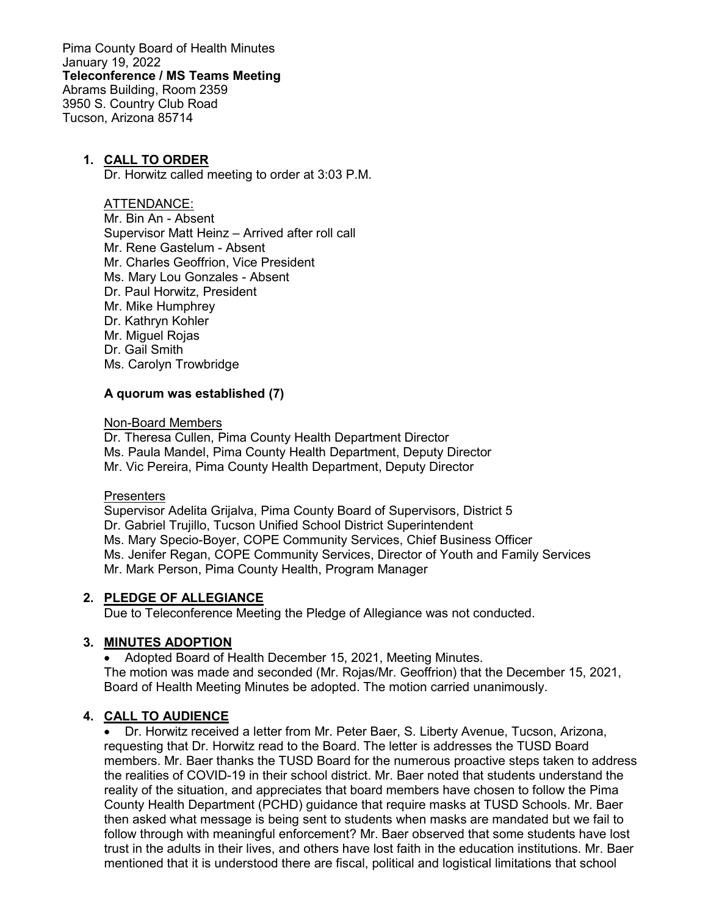Pima County Board of Health Minutes January 19, 2022 **Teleconference / MS Teams Meeting** Abrams Building, Room 2359 3950 S. Country Club Road Tucson, Arizona 85714

## **1. CALL TO ORDER**

Dr. Horwitz called meeting to order at 3:03 P.M.

#### ATTENDANCE:

Mr. Bin An - Absent Supervisor Matt Heinz – Arrived after roll call Mr. Rene Gastelum - Absent Mr. Charles Geoffrion, Vice President Ms. Mary Lou Gonzales - Absent Dr. Paul Horwitz, President Mr. Mike Humphrey Dr. Kathryn Kohler Mr. Miguel Rojas Dr. Gail Smith Ms. Carolyn Trowbridge

### **A quorum was established (7)**

#### Non-Board Members

Dr. Theresa Cullen, Pima County Health Department Director Ms. Paula Mandel, Pima County Health Department, Deputy Director Mr. Vic Pereira, Pima County Health Department, Deputy Director

### **Presenters**

Supervisor Adelita Grijalva, Pima County Board of Supervisors, District 5 Dr. Gabriel Trujillo, Tucson Unified School District Superintendent Ms. Mary Specio-Boyer, COPE Community Services, Chief Business Officer Ms. Jenifer Regan, COPE Community Services, Director of Youth and Family Services Mr. Mark Person, Pima County Health, Program Manager

### **2. PLEDGE OF ALLEGIANCE**

Due to Teleconference Meeting the Pledge of Allegiance was not conducted.

## **3. MINUTES ADOPTION**

• Adopted Board of Health December 15, 2021, Meeting Minutes. The motion was made and seconded (Mr. Rojas/Mr. Geoffrion) that the December 15, 2021, Board of Health Meeting Minutes be adopted. The motion carried unanimously.

### **4. CALL TO AUDIENCE**

• Dr. Horwitz received a letter from Mr. Peter Baer, S. Liberty Avenue, Tucson, Arizona, requesting that Dr. Horwitz read to the Board. The letter is addresses the TUSD Board members. Mr. Baer thanks the TUSD Board for the numerous proactive steps taken to address the realities of COVID-19 in their school district. Mr. Baer noted that students understand the reality of the situation, and appreciates that board members have chosen to follow the Pima County Health Department (PCHD) guidance that require masks at TUSD Schools. Mr. Baer then asked what message is being sent to students when masks are mandated but we fail to follow through with meaningful enforcement? Mr. Baer observed that some students have lost trust in the adults in their lives, and others have lost faith in the education institutions. Mr. Baer mentioned that it is understood there are fiscal, political and logistical limitations that school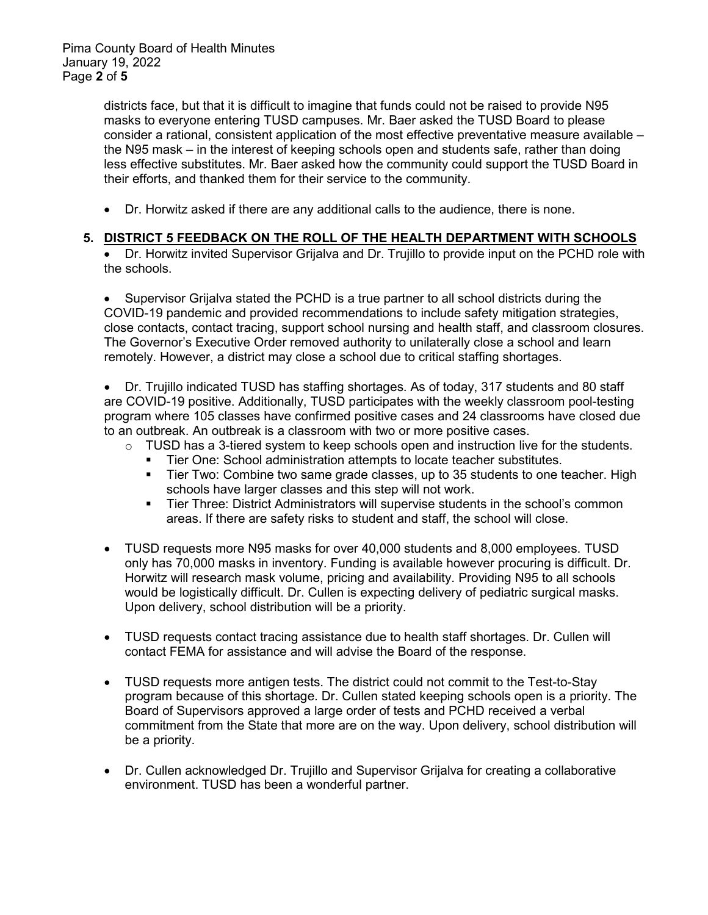districts face, but that it is difficult to imagine that funds could not be raised to provide N95 masks to everyone entering TUSD campuses. Mr. Baer asked the TUSD Board to please consider a rational, consistent application of the most effective preventative measure available – the N95 mask – in the interest of keeping schools open and students safe, rather than doing less effective substitutes. Mr. Baer asked how the community could support the TUSD Board in their efforts, and thanked them for their service to the community.

• Dr. Horwitz asked if there are any additional calls to the audience, there is none.

## **5. DISTRICT 5 FEEDBACK ON THE ROLL OF THE HEALTH DEPARTMENT WITH SCHOOLS**

• Dr. Horwitz invited Supervisor Grijalva and Dr. Trujillo to provide input on the PCHD role with the schools.

• Supervisor Grijalva stated the PCHD is a true partner to all school districts during the COVID-19 pandemic and provided recommendations to include safety mitigation strategies, close contacts, contact tracing, support school nursing and health staff, and classroom closures. The Governor's Executive Order removed authority to unilaterally close a school and learn remotely. However, a district may close a school due to critical staffing shortages.

• Dr. Trujillo indicated TUSD has staffing shortages. As of today, 317 students and 80 staff are COVID-19 positive. Additionally, TUSD participates with the weekly classroom pool-testing program where 105 classes have confirmed positive cases and 24 classrooms have closed due to an outbreak. An outbreak is a classroom with two or more positive cases.

- TUSD has a 3-tiered system to keep schools open and instruction live for the students.<br>■ Tier One: School administration attempts to locate teacher substitutes.
	- Tier One: School administration attempts to locate teacher substitutes.
	- Tier Two: Combine two same grade classes, up to 35 students to one teacher. High schools have larger classes and this step will not work.
	- Tier Three: District Administrators will supervise students in the school's common areas. If there are safety risks to student and staff, the school will close.
- TUSD requests more N95 masks for over 40,000 students and 8,000 employees. TUSD only has 70,000 masks in inventory. Funding is available however procuring is difficult. Dr. Horwitz will research mask volume, pricing and availability. Providing N95 to all schools would be logistically difficult. Dr. Cullen is expecting delivery of pediatric surgical masks. Upon delivery, school distribution will be a priority.
- TUSD requests contact tracing assistance due to health staff shortages. Dr. Cullen will contact FEMA for assistance and will advise the Board of the response.
- TUSD requests more antigen tests. The district could not commit to the Test-to-Stay program because of this shortage. Dr. Cullen stated keeping schools open is a priority. The Board of Supervisors approved a large order of tests and PCHD received a verbal commitment from the State that more are on the way. Upon delivery, school distribution will be a priority.
- Dr. Cullen acknowledged Dr. Trujillo and Supervisor Grijalva for creating a collaborative environment. TUSD has been a wonderful partner.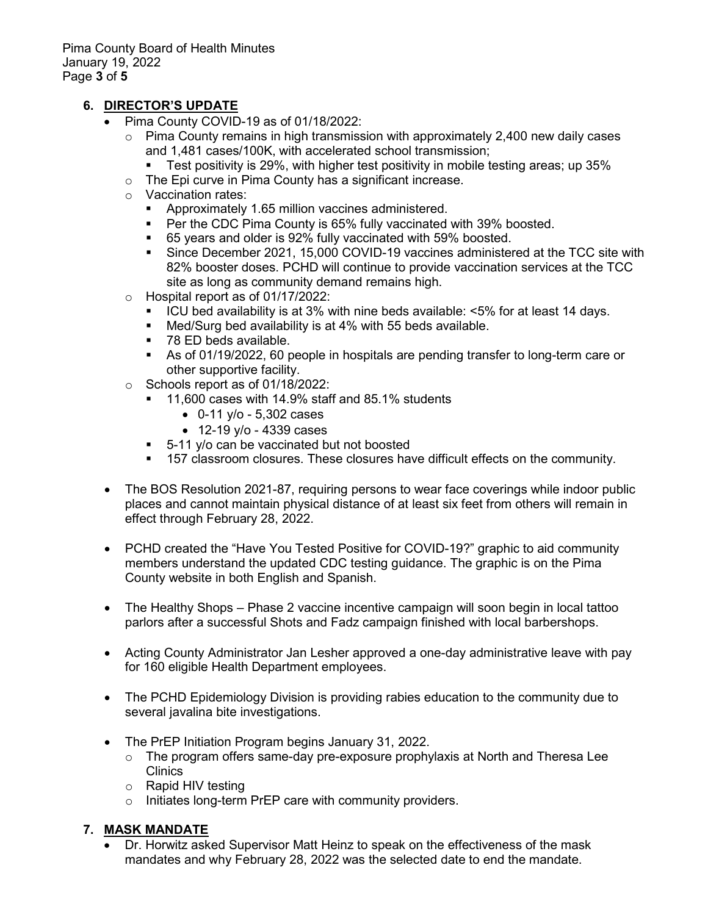# **6. DIRECTOR'S UPDATE**

- Pima County COVID-19 as of 01/18/2022:
	- $\circ$  Pima County remains in high transmission with approximately 2,400 new daily cases and 1,481 cases/100K, with accelerated school transmission;
		- **Test positivity is 29%, with higher test positivity in mobile testing areas; up 35%**
	- o The Epi curve in Pima County has a significant increase.
	- Vaccination rates:
		- Approximately 1.65 million vaccines administered.
		- Per the CDC Pima County is 65% fully vaccinated with 39% boosted.
		- 65 years and older is 92% fully vaccinated with 59% boosted.
		- Since December 2021, 15,000 COVID-19 vaccines administered at the TCC site with 82% booster doses. PCHD will continue to provide vaccination services at the TCC site as long as community demand remains high.
	- o Hospital report as of 01/17/2022:
		- ICU bed availability is at 3% with nine beds available: <5% for at least 14 days.
		- Med/Surg bed availability is at 4% with 55 beds available.
		- 78 ED beds available.
		- As of 01/19/2022, 60 people in hospitals are pending transfer to long-term care or other supportive facility.
	- o Schools report as of 01/18/2022:
		- 11,600 cases with 14.9% staff and 85.1% students
			- 0-11 y/o 5,302 cases
			- 12-19 y/o 4339 cases
		- 5-11 y/o can be vaccinated but not boosted
		- **157 classroom closures. These closures have difficult effects on the community.**
- The BOS Resolution 2021-87, requiring persons to wear face coverings while indoor public places and cannot maintain physical distance of at least six feet from others will remain in effect through February 28, 2022.
- PCHD created the "Have You Tested Positive for COVID-19?" graphic to aid community members understand the updated CDC testing guidance. The graphic is on the Pima County website in both English and Spanish.
- The Healthy Shops Phase 2 vaccine incentive campaign will soon begin in local tattoo parlors after a successful Shots and Fadz campaign finished with local barbershops.
- Acting County Administrator Jan Lesher approved a one-day administrative leave with pay for 160 eligible Health Department employees.
- The PCHD Epidemiology Division is providing rabies education to the community due to several javalina bite investigations.
- The PrEP Initiation Program begins January 31, 2022.
	- o The program offers same-day pre-exposure prophylaxis at North and Theresa Lee **Clinics**
	- o Rapid HIV testing
	- o Initiates long-term PrEP care with community providers.

## **7. MASK MANDATE**

• Dr. Horwitz asked Supervisor Matt Heinz to speak on the effectiveness of the mask mandates and why February 28, 2022 was the selected date to end the mandate.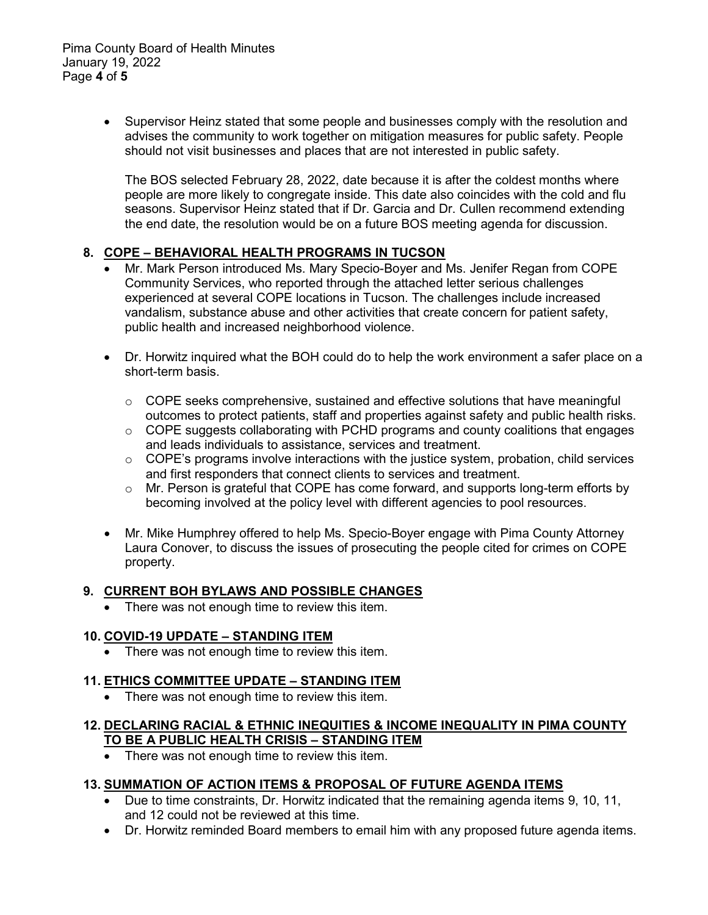• Supervisor Heinz stated that some people and businesses comply with the resolution and advises the community to work together on mitigation measures for public safety. People should not visit businesses and places that are not interested in public safety.

The BOS selected February 28, 2022, date because it is after the coldest months where people are more likely to congregate inside. This date also coincides with the cold and flu seasons. Supervisor Heinz stated that if Dr. Garcia and Dr. Cullen recommend extending the end date, the resolution would be on a future BOS meeting agenda for discussion.

## **8. COPE – BEHAVIORAL HEALTH PROGRAMS IN TUCSON**

- Mr. Mark Person introduced Ms. Mary Specio-Boyer and Ms. Jenifer Regan from COPE Community Services, who reported through the attached letter serious challenges experienced at several COPE locations in Tucson. The challenges include increased vandalism, substance abuse and other activities that create concern for patient safety, public health and increased neighborhood violence.
- Dr. Horwitz inquired what the BOH could do to help the work environment a safer place on a short-term basis.
	- o COPE seeks comprehensive, sustained and effective solutions that have meaningful outcomes to protect patients, staff and properties against safety and public health risks.
	- $\circ$  COPE suggests collaborating with PCHD programs and county coalitions that engages and leads individuals to assistance, services and treatment.
	- o COPE's programs involve interactions with the justice system, probation, child services and first responders that connect clients to services and treatment.
	- $\circ$  Mr. Person is grateful that COPE has come forward, and supports long-term efforts by becoming involved at the policy level with different agencies to pool resources.
- Mr. Mike Humphrey offered to help Ms. Specio-Boyer engage with Pima County Attorney Laura Conover, to discuss the issues of prosecuting the people cited for crimes on COPE property.

## **9. CURRENT BOH BYLAWS AND POSSIBLE CHANGES**

• There was not enough time to review this item.

# **10. COVID-19 UPDATE – STANDING ITEM**

• There was not enough time to review this item.

## **11. ETHICS COMMITTEE UPDATE – STANDING ITEM**

• There was not enough time to review this item.

### **12. DECLARING RACIAL & ETHNIC INEQUITIES & INCOME INEQUALITY IN PIMA COUNTY TO BE A PUBLIC HEALTH CRISIS – STANDING ITEM**

• There was not enough time to review this item.

# **13. SUMMATION OF ACTION ITEMS & PROPOSAL OF FUTURE AGENDA ITEMS**

- Due to time constraints, Dr. Horwitz indicated that the remaining agenda items 9, 10, 11, and 12 could not be reviewed at this time.
- Dr. Horwitz reminded Board members to email him with any proposed future agenda items.